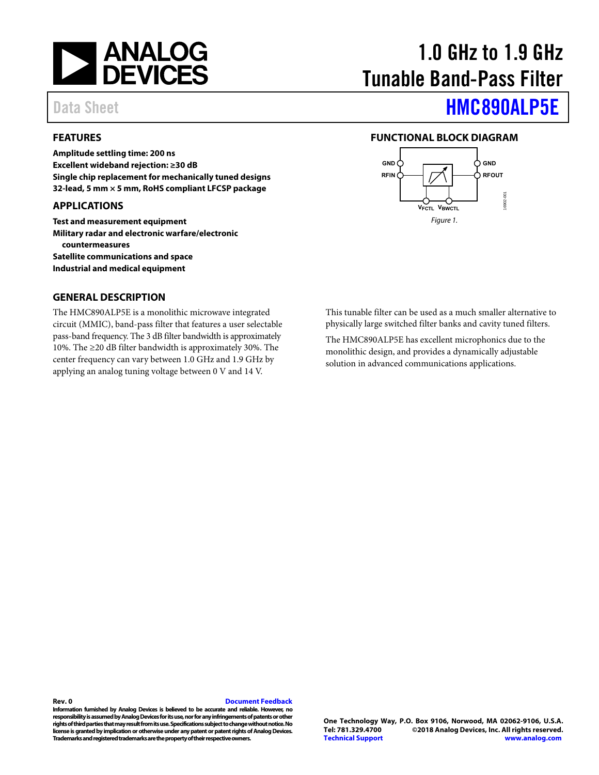<span id="page-0-2"></span>

#### <span id="page-0-0"></span>**FEATURES**

**Amplitude settling time: 200 ns Excellent wideband rejection: ≥30 dB Single chip replacement for mechanically tuned designs 32-lead, 5 mm × 5 mm, RoHS compliant LFCSP package** 

#### **APPLICATIONS**

**Test and measurement equipment Military radar and electronic warfare/electronic countermeasures Satellite communications and space Industrial and medical equipment** 

#### **GENERAL DESCRIPTION**

The HMC890ALP5E is a monolithic microwave integrated circuit (MMIC), band-pass filter that features a user selectable pass-band frequency. The 3 dB filter bandwidth is approximately 10%. The ≥20 dB filter bandwidth is approximately 30%. The center frequency can vary between 1.0 GHz and 1.9 GHz by applying an analog tuning voltage between 0 V and 14 V.

# 1.0 GHz to 1.9 GHz Tunable Band-Pass Filter

# Data Sheet **[HMC890ALP5E](http://www.analog.com/HMC890A?doc=hmc890ALP5E.pdf)**

#### <span id="page-0-1"></span>**FUNCTIONAL BLOCK DIAGRAM**



This tunable filter can be used as a much smaller alternative to physically large switched filter banks and cavity tuned filters.

The HMC890ALP5E has excellent microphonics due to the monolithic design, and provides a dynamically adjustable solution in advanced communications applications.

**Rev. 0 [Document Feedback](https://form.analog.com/Form_Pages/feedback/documentfeedback.aspx?doc=HMC890ALP5E.pdf&product=HMC890ALP5E&rev=0)  Information furnished by Analog Devices is believed to be accurate and reliable. However, no responsibility is assumed by Analog Devices for its use, nor for any infringements of patents or other rights of third parties that may result from its use. Specifications subject to change without notice. No license is granted by implication or otherwise under any patent or patent rights of Analog Devices.** 

**Trademarks and registered trademarks are the property of their respective owners.**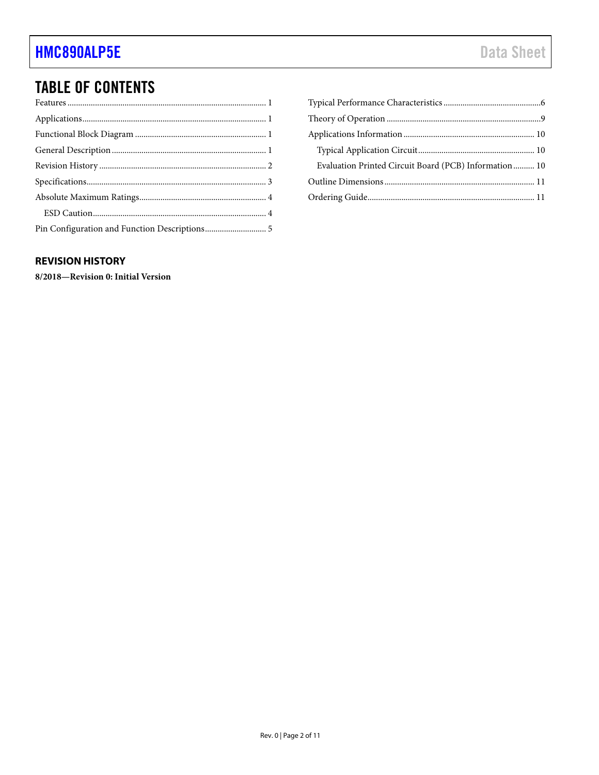## **TABLE OF CONTENTS**

| Evaluation Printed Circuit Board (PCB) Information 10 |  |
|-------------------------------------------------------|--|
|                                                       |  |
|                                                       |  |

### <span id="page-1-0"></span>**REVISION HISTORY**

8/2018-Revision 0: Initial Version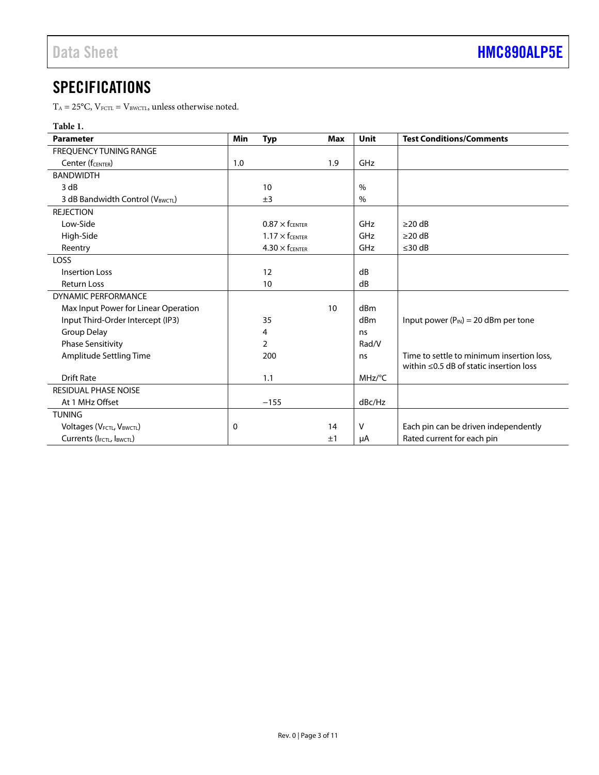### <span id="page-2-0"></span>**SPECIFICATIONS**

 $T_{\rm A}$  = 25°C, V $_{\rm FCTL}$  = V $_{\rm BWCTL}$  , unless otherwise noted.

#### **Table 1.**

| <b>Parameter</b>                                   | Min      | <b>Typ</b>             | <b>Max</b> | <b>Unit</b> | <b>Test Conditions/Comments</b>                                                            |
|----------------------------------------------------|----------|------------------------|------------|-------------|--------------------------------------------------------------------------------------------|
| <b>FREOUENCY TUNING RANGE</b>                      |          |                        |            |             |                                                                                            |
| Center (fCENTER)                                   | 1.0      |                        | 1.9        | GHz         |                                                                                            |
| <b>BANDWIDTH</b>                                   |          |                        |            |             |                                                                                            |
| 3 dB                                               |          | 10                     |            | $\%$        |                                                                                            |
| 3 dB Bandwidth Control (VBWCTL)                    |          | ±3                     |            | $\%$        |                                                                                            |
| <b>REJECTION</b>                                   |          |                        |            |             |                                                                                            |
| Low-Side                                           |          | $0.87 \times f$ CENTER |            | GHz         | $\geq$ 20 dB                                                                               |
| High-Side                                          |          | $1.17 \times$ fcenter  |            | GHz         | $\geq$ 20 dB                                                                               |
| Reentry                                            |          | $4.30 \times$ fcenter  |            | GHz         | $\leq$ 30 dB                                                                               |
| <b>LOSS</b>                                        |          |                        |            |             |                                                                                            |
| <b>Insertion Loss</b>                              |          | 12                     |            | dB          |                                                                                            |
| <b>Return Loss</b>                                 |          | 10                     |            | dB          |                                                                                            |
| <b>DYNAMIC PERFORMANCE</b>                         |          |                        |            |             |                                                                                            |
| Max Input Power for Linear Operation               |          |                        | 10         | dBm         |                                                                                            |
| Input Third-Order Intercept (IP3)                  |          | 35                     |            | dBm         | Input power ( $P_{IN}$ ) = 20 dBm per tone                                                 |
| Group Delay                                        |          | 4                      |            | ns          |                                                                                            |
| <b>Phase Sensitivity</b>                           |          | $\overline{2}$         |            | Rad/V       |                                                                                            |
| Amplitude Settling Time                            |          | 200                    |            | ns          | Time to settle to minimum insertion loss,<br>within $\leq$ 0.5 dB of static insertion loss |
| <b>Drift Rate</b>                                  |          | 1.1                    |            | MHz/°C      |                                                                                            |
| <b>RESIDUAL PHASE NOISE</b>                        |          |                        |            |             |                                                                                            |
| At 1 MHz Offset                                    |          | $-155$                 |            | dBc/Hz      |                                                                                            |
| <b>TUNING</b>                                      |          |                        |            |             |                                                                                            |
| Voltages (V <sub>FCTL</sub> , V <sub>BWCTL</sub> ) | $\Omega$ |                        | 14         | V           | Each pin can be driven independently                                                       |
| Currents (IFCTL, IBWCTL)                           |          |                        | ±1         | μA          | Rated current for each pin                                                                 |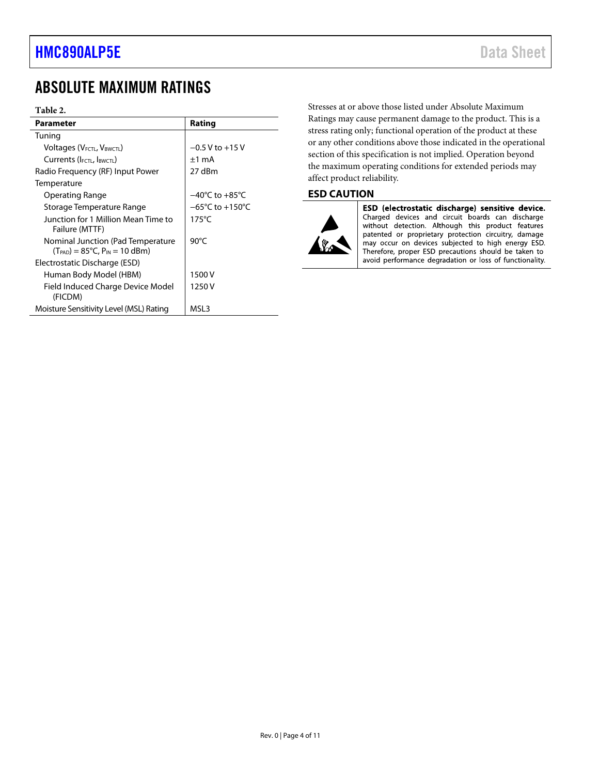### <span id="page-3-0"></span>ABSOLUTE MAXIMUM RATINGS

#### **Table 2.**

| <b>Parameter</b>                                                                    | Rating                              |
|-------------------------------------------------------------------------------------|-------------------------------------|
| Tuning                                                                              |                                     |
| Voltages (V <sub>FCTL</sub> , V <sub>BWCTL</sub> )                                  | $-0.5$ V to $+15$ V                 |
| Currents (IFCTL, IBWCTL)                                                            | $±1$ mA                             |
| Radio Frequency (RF) Input Power                                                    | 27 dBm                              |
| Temperature                                                                         |                                     |
| Operating Range                                                                     | $-40^{\circ}$ C to $+85^{\circ}$ C  |
| Storage Temperature Range                                                           | $-65^{\circ}$ C to $+150^{\circ}$ C |
| Junction for 1 Million Mean Time to<br>Failure (MTTF)                               | $175^{\circ}$ C                     |
| Nominal Junction (Pad Temperature<br>$(T_{PAD}) = 85^{\circ}C$ , $P_{IN} = 10$ dBm) | $90^{\circ}$ C                      |
| Electrostatic Discharge (ESD)                                                       |                                     |
| Human Body Model (HBM)                                                              | 1500 V                              |
| Field Induced Charge Device Model<br>(FICDM)                                        | 1250 V                              |
| Moisture Sensitivity Level (MSL) Rating                                             | MSL3                                |

Stresses at or above those listed under Absolute Maximum Ratings may cause permanent damage to the product. This is a stress rating only; functional operation of the product at these or any other conditions above those indicated in the operational section of this specification is not implied. Operation beyond the maximum operating conditions for extended periods may affect product reliability.

#### <span id="page-3-1"></span>**ESD CAUTION**



ESD (electrostatic discharge) sensitive device. Charged devices and circuit boards can discharge without detection. Although this product features patented or proprietary protection circuitry, damage may occur on devices subjected to high energy ESD. Therefore, proper ESD precautions should be taken to avoid performance degradation or loss of functionality.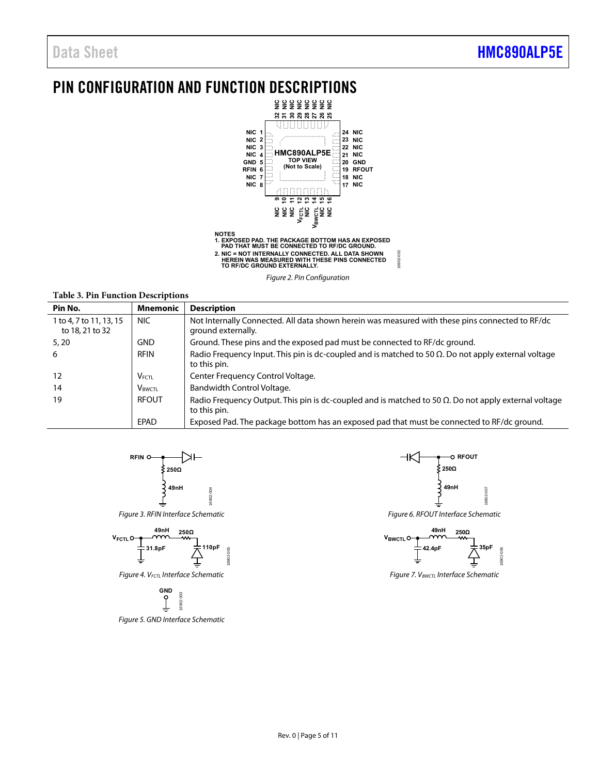### <span id="page-4-0"></span>PIN CONFIGURATION AND FUNCTION DESCRIPTIONS





**Table 3. Pin Function Descriptions** 

| Pin No.                                    | <b>Mnemonic</b>           | <b>Description</b>                                                                                                           |
|--------------------------------------------|---------------------------|------------------------------------------------------------------------------------------------------------------------------|
| 1 to 4, 7 to 11, 13, 15<br>to 18, 21 to 32 | NIC.                      | Not Internally Connected. All data shown herein was measured with these pins connected to RF/dc<br>ground externally.        |
| 5, 20                                      | GND                       | Ground. These pins and the exposed pad must be connected to RF/dc ground.                                                    |
| 6                                          | <b>RFIN</b>               | Radio Frequency Input. This pin is dc-coupled and is matched to 50 $\Omega$ . Do not apply external voltage<br>to this pin.  |
| 12                                         | $V_{FCTL}$                | Center Frequency Control Voltage.                                                                                            |
| 14                                         | <b>V</b> <sub>BWCTL</sub> | Bandwidth Control Voltage.                                                                                                   |
| 19                                         | <b>RFOUT</b>              | Radio Frequency Output. This pin is dc-coupled and is matched to 50 $\Omega$ . Do not apply external voltage<br>to this pin. |
|                                            | EPAD                      | Exposed Pad. The package bottom has an exposed pad that must be connected to RF/dc ground.                                   |



Figure 3. RFIN Interface Schematic



Figure 4. V<sub>FCTL</sub> Interface Schematic



Figure 5. GND Interface Schematic



16902-002

16902-002

Figure 6. RFOUT Interface Schematic



Figure 7.  $V_{BWCTL}$  Interface Schematic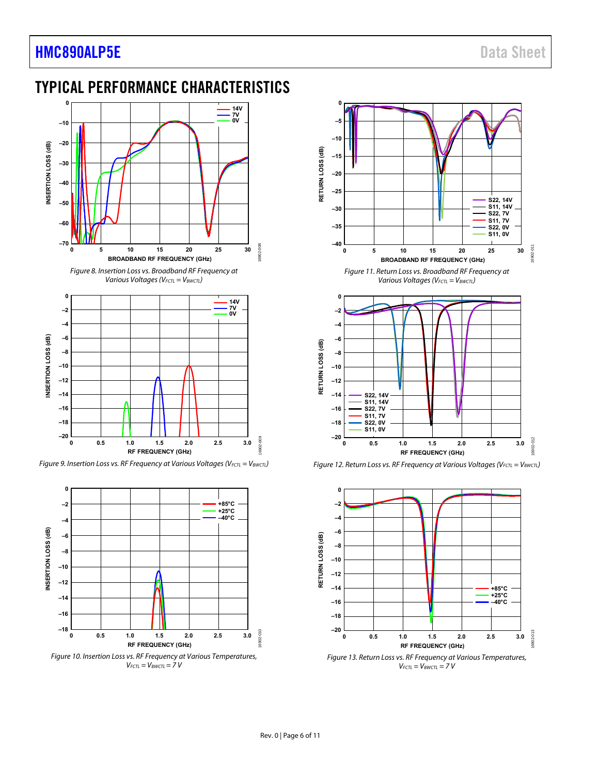### **[HMC890ALP5E](http://www.analog.com/HMC890A?doc=hmc890ALP5E.pdf)** Data Sheet

### <span id="page-5-0"></span>TYPICAL PERFORMANCE CHARACTERISTICS





Figure 9. Insertion Loss vs. RF Frequency at Various Voltages (V<sub>FCTL</sub> = V<sub>BWCTL</sub>)



 $V_{FCTL} = V_{BWCTL} = 7 V$ 











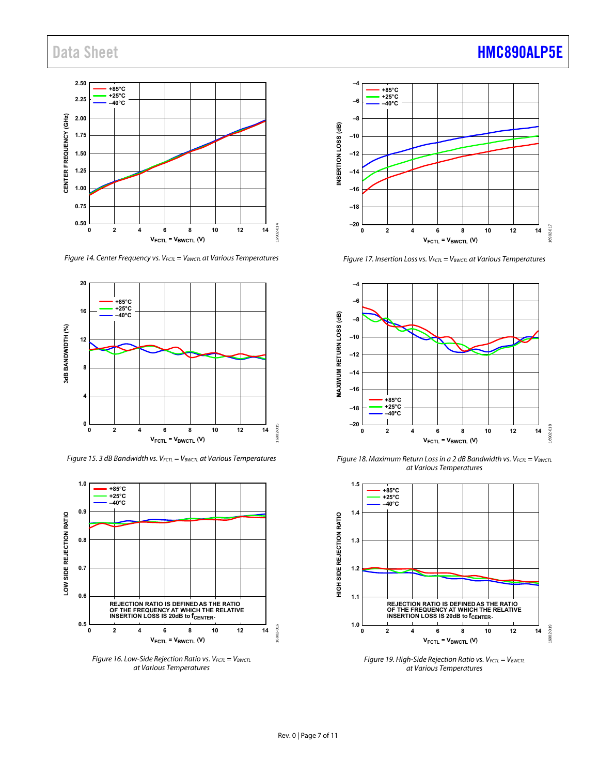

Figure 14. Center Frequency vs.  $V_{FCTL} = V_{BWCTL}$  at Various Temperatures



Figure 15. 3 dB Bandwidth vs.  $V_{FCTL} = V_{BWCTL}$  at Various Temperatures



Figure 16. Low-Side Rejection Ratio vs.  $V_{FCTL} = V_{BWCTL}$ at Various Temperatures



Figure 17. Insertion Loss vs.  $V_{FCTL} = V_{BWCTL}$  at Various Temperatures



Figure 18. Maximum Return Loss in a 2 dB Bandwidth vs.  $V_{FCTL} = V_{BWCTL}$ at Various Temperatures



Figure 19. High-Side Rejection Ratio vs.  $V_{FCTL} = V_{BWCTL}$ at Various Temperatures

### Data Sheet **[HMC890ALP5E](http://www.analog.com/HMC890A?doc=hmc890ALP5E.pdf)**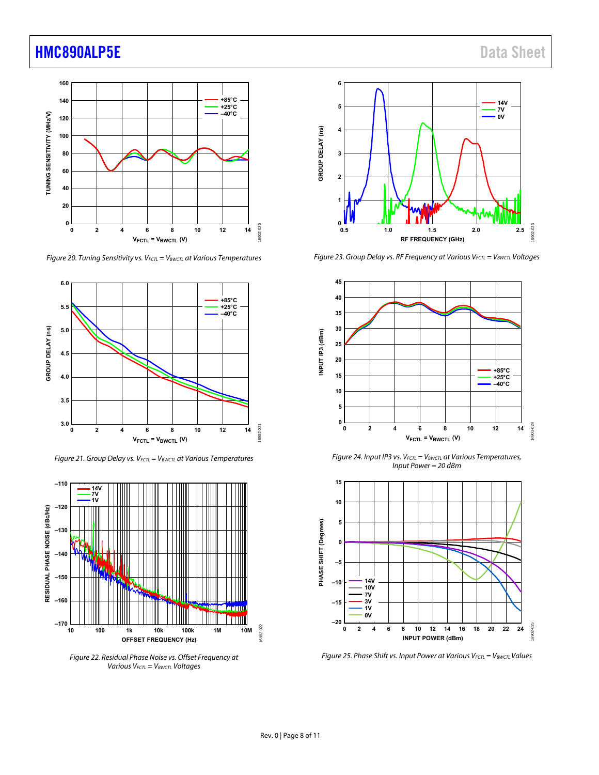### **[HMC890ALP5E](http://www.analog.com/HMC890A?doc=hmc890ALP5E.pdf)** Data Sheet



Figure 20. Tuning Sensitivity vs.  $V_{FCTL} = V_{BWCTL}$  at Various Temperatures



Figure 21. Group Delay vs.  $V_{FCTL} = V_{BWCTL}$  at Various Temperatures



Figure 22. Residual Phase Noise vs. Offset Frequency at Various  $V_{FCTL} = V_{BWCTL}$  Voltages



Figure 23. Group Delay vs. RF Frequency at Various  $V_{FCTL} = V_{BWCTL}$  Voltages



Figure 24. Input IP3 vs.  $V_{FCTL} = V_{BWCTL}$  at Various Temperatures, Input Power = 20 dBm



Figure 25. Phase Shift vs. Input Power at Various  $V_{FCTL} = V_{BWCTL}$  Values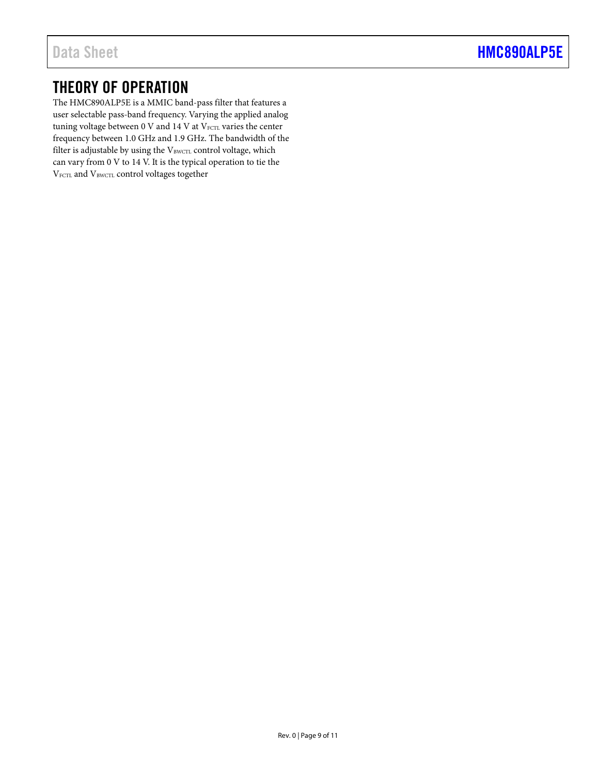### <span id="page-8-0"></span>THEORY OF OPERATION

The HMC890ALP5E is a MMIC band-pass filter that features a user selectable pass-band frequency. Varying the applied analog tuning voltage between  $0$  V and  $14$  V at  $V_{\text{FCL}}$  varies the center frequency between 1.0 GHz and 1.9 GHz. The bandwidth of the filter is adjustable by using the VBWCTL control voltage, which can vary from 0 V to 14 V. It is the typical operation to tie the V<sub>FCTL</sub> and V<sub>BWCTL</sub> control voltages together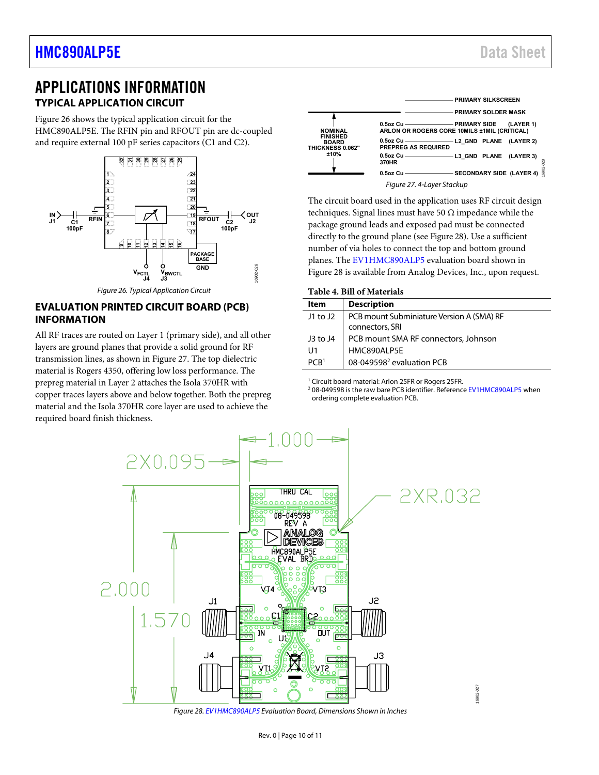### <span id="page-9-0"></span>APPLICATIONS INFORMATION **TYPICAL APPLICATION CIRCUIT**

<span id="page-9-1"></span>[Figure 26 s](#page-9-3)hows the typical application circuit for the HMC890ALP5E. The RFIN pin and RFOUT pin are dc-coupled and require external 100 pF series capacitors (C1 and C2).



Figure 26. Typical Application Circuit

### <span id="page-9-3"></span><span id="page-9-2"></span>**EVALUATION PRINTED CIRCUIT BOARD (PCB) INFORMATION**

All RF traces are routed on Layer 1 (primary side), and all other layers are ground planes that provide a solid ground for RF transmission lines, as shown i[n Figure 27.](#page-9-4) The top dielectric material is Rogers 4350, offering low loss performance. The prepreg material in Layer 2 attaches the Isola 370HR with copper traces layers above and below together. Both the prepreg material and the Isola 370HR core layer are used to achieve the required board finish thickness.



<span id="page-9-4"></span>The circuit board used in the application uses RF circuit design techniques. Signal lines must have 50  $\Omega$  impedance while the package ground leads and exposed pad must be connected directly to the ground plane (see [Figure 28\)](#page-9-5). Use a sufficient number of via holes to connect the top and bottom ground planes. Th[e EV1HMC890ALP5](http://www.analog.com/eval-hmc890A?doc=hmc890ALP5E.pdf) evaluation board shown in [Figure 28 i](#page-9-5)s available from Analog Devices, Inc., upon request.

**Table 4. Bill of Materials** 

| <b>Description</b>                                           |
|--------------------------------------------------------------|
| PCB mount Subminiature Version A (SMA) RF<br>connectors, SRI |
| PCB mount SMA RF connectors, Johnson                         |
| HMC890ALP5E                                                  |
| 08-049598 <sup>2</sup> evaluation PCB                        |
|                                                              |

<sup>1</sup> Circuit board material: Arlon 25FR or Rogers 25FR.<br><sup>2</sup> 08-049598 is the raw bare PCB identifier. Reference

<sup>2</sup> 08-049598 is the raw bare PCB identifier. Referenc[e EV1HMC890ALP5 w](http://www.analog.com/eval-hmc890A?doc=hmc890ALP5E.pdf)hen ordering complete evaluation PCB.



<span id="page-9-5"></span>Figure 28[. EV1HMC890ALP5 E](http://www.analog.com/eval-hmc890A?doc=hmc890ALP5E.pdf)valuation Board, Dimensions Shown in Inches